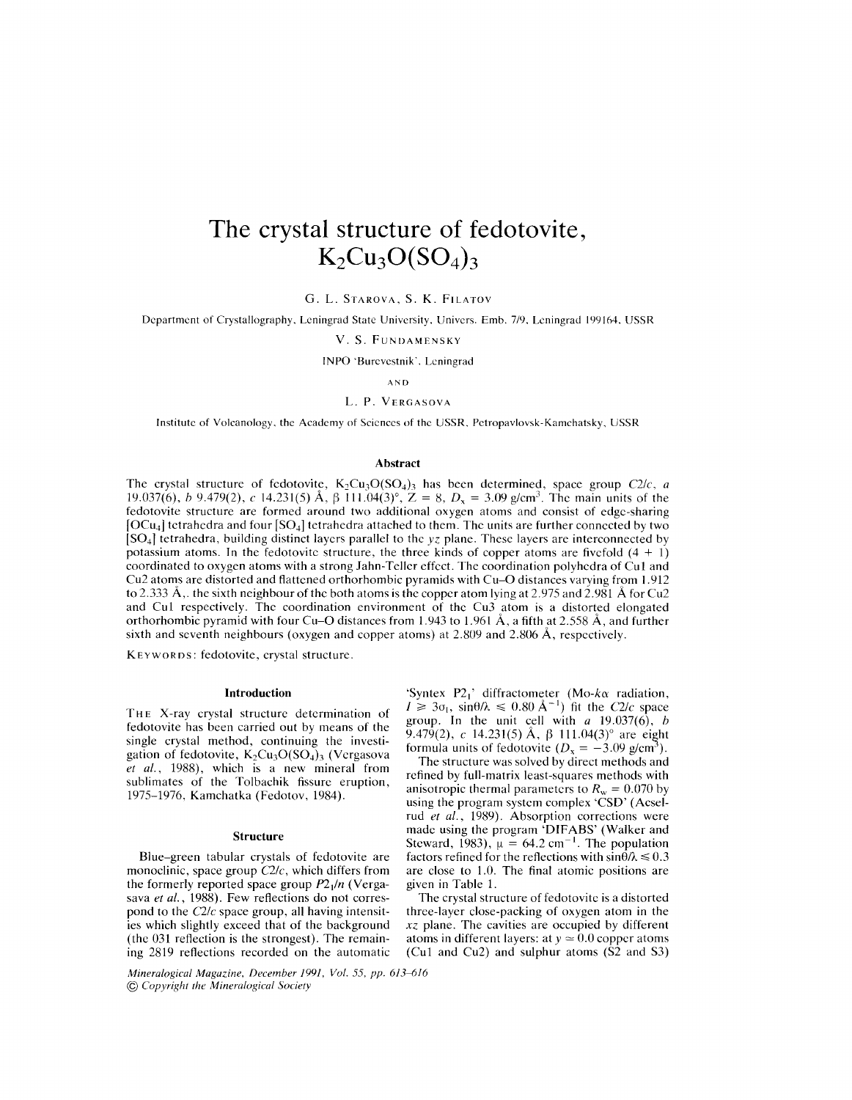# **The crystal structure of fedotovite,**  $K_2Cu_3O(SO_4)_3$

G. L. STAROVA, S. K. FILATOV

Department of Crystallography. Leningrad State University. Univers. Emb. 7/9, Leningrad 199164, USSR

V. S. FUNDAMENSKY

INPO 'Burevestnik'. Leningrad

AND

## L. P. VERGASOVA

Institute of Volcanology. the Academy of Sciences of the USSR, Petropavlovsk-Kamehatsky, USSR

## Abstract

The crystal structure of fedotovite,  $K_2Cu_3O(SO_4)$  has been determined, space group *C2/c, a* 19.037(6), *b* 9.479(2), *c* 14.231(5) Å,  $\beta$  111.04(3)°, Z = 8,  $D_x = 3.09$  g/cm<sup>3</sup>. The main units of the fedotovite structure are formed around two additional oxygen atoms and consist of edge-sharing  $[OCu<sub>4</sub>]$  tetrahedra and four  $[SO<sub>4</sub>]$  tetrahedra attached to them. The units are further connected by two [S04J tetrahedra, building distinct layers parallel to the *yz* plane. These layers are interconnected by potassium atoms. In the fedotovite structure, the three kinds of copper atoms are fivefold  $(4 + 1)$ coordinated to oxygen atoms with a strong Jahn-Teller effect. The coordination polyhedra of Cui and Cu2 atoms are distorted and flattened orthorhombic pyramids with Cu-O distances varying from 1.912 to 2.333 Å,. the sixth neighbour of the both atoms is the copper atom lying at 2.975 and 2.981 Å for Cu2 and Cu1 respectively. The coordination environment of the Cu3 atom is a distorted elongated orthorhombic pyramid with four Cu-O distances from 1.943 to 1.961 A, a fifth at 2.558 A, and further sixth and seventh neighbours (oxygen and copper atoms) at 2.809 and 2.806 A, respectively.

KE YWORDS: fedotovite, crystal structure.

#### Introduction

THE X-ray crystal structure determination of fedotovite has been carried out by means of the single crystal method, continuing the investigation of fedotovite,  $K_2Cu_3O(SO_4)_3$  (Vergasova *et aI.,* 1988), which is a new mineral from sublimates of the Tolbachik fissure eruption, 1975-1976, Kamchatka (Fedotov, 1984).

### **Structure**

Blue-green tabular crystals of fedotovite are monoclinic, space group *C2/e,* which differs from the formerly reported space group *P2/n* (Vergasava *et aI.,* 1988). Few reflections do not correspond to the *C2/e* space group, all having intensities which slightly exceed that of the background (the 031 reflection is the strongest). The remaining 2819 reflections recorded on the automatic

*Mineralogical Magazine, December* 1991, *Vol.* 55, *pp.* 613--fJ16 @ *Copyright the Mineralogical Society*

'Syntex P2<sub>1</sub>' diffractometer *(Mo-ka radiation,*  $I \geq 3\sigma_I$ ,  $\sin\theta/\lambda \leq 0.80 \text{ Å}^{-1}$ ) fit the *C2/c* space group. In the unit cell with *a* 19.037(6), *h* 9.479(2), *c* 14.231(5) Å, β 111.04(3)° are eight formula units of fedotovite  $(D_x = -3.09 \text{ g/cm}^3)$ .

The structure was solved by direct methods and refined by full-matrix least-squares methods with anisotropic thermal parameters to  $R_w = 0.070$  by using the program system complex 'CSD' (Aeselrud *et aI.,* 1989). Absorption corrections were made using the program 'DIFABS' (Walker and Steward, 1983),  $\mu = 64.2$  cm<sup>-1</sup>. The population factors refined for the reflections with  $\sin \theta / \lambda \leq 0.3$ are close to 1.0. The final atomic positions are given in Table 1.

The crystal structure of fedotovite is a distorted three-layer close-packing of oxygen atom in the *xz* plane. The cavities are occupied by different atoms in different layers: at  $y \approx 0.0$  copper atoms (Cu1 and Cu2) and sulphur atoms  $(S2 \text{ and } S3)$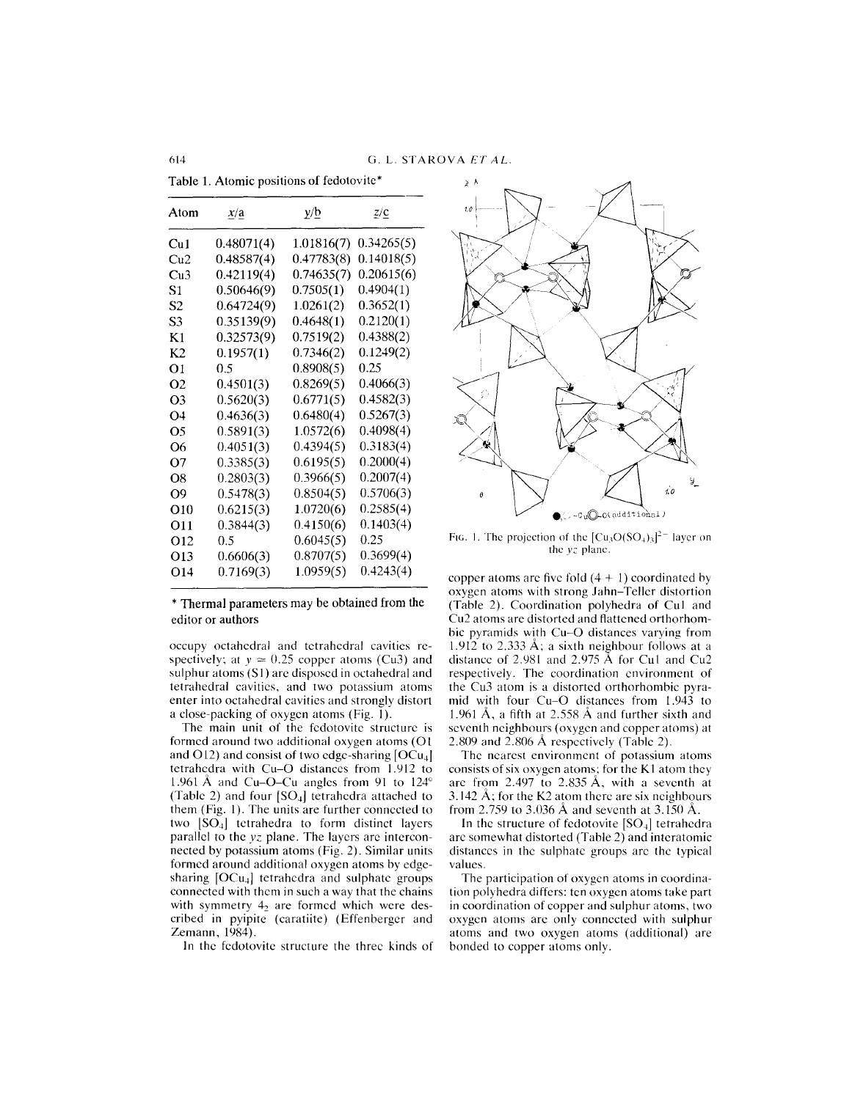Table 1. Atomic positions of fedotovite\*

| Atom           | x/a        | y/D        | $Z/\underline{c}$ |  |  |
|----------------|------------|------------|-------------------|--|--|
| Cu1            | 0.48071(4) | 1.01816(7) | 0.34265(5)        |  |  |
| $\mathrm{Cu2}$ | 0.48587(4) | 0.47783(8) | 0.14018(5)        |  |  |
| Cu3            | 0.42119(4) | 0.74635(7) | 0.20615(6)        |  |  |
| S1             | 0.50646(9) | 0.7505(1)  | 0.4904(1)         |  |  |
| S2             | 0.64724(9) | 1.0261(2)  | 0.3652(1)         |  |  |
| S3             | 0.35139(9) | 0.4648(1)  | 0.2120(1)         |  |  |
| Κ1             | 0.32573(9) | 0.7519(2)  | 0.4388(2)         |  |  |
| K2             | 0.1957(1)  | 0.7346(2)  | 0.1249(2)         |  |  |
| O1             | 0.5        | 0.8908(5)  | 0.25              |  |  |
| O2             | 0.4501(3)  | 0.8269(5)  | 0.4066(3)         |  |  |
| O3             | 0.5620(3)  | 0.6771(5)  | 0.4582(3)         |  |  |
| Ο4             | 0.4636(3)  | 0.6480(4)  | 0.5267(3)         |  |  |
| Ο5             | 0.5891(3)  | 1.0572(6)  | 0.4098(4)         |  |  |
| Ο6             | 0.4051(3)  | 0.4394(5)  | 0.3183(4)         |  |  |
| O7             | 0.3385(3)  | 0.6195(5)  | 0.2000(4)         |  |  |
| Ο8             | 0.2803(3)  | 0.3966(5)  | 0.2007(4)         |  |  |
| O9             | 0.5478(3)  | 0.8504(5)  | 0.5706(3)         |  |  |
| O10            | 0.6215(3)  | 1.0720(6)  | 0.2585(4)         |  |  |
| O11            | 0.3844(3)  | 0.4150(6)  | 0.1403(4)         |  |  |
| О12            | 0.5        | 0.6045(5)  | 0.25              |  |  |
| O13            | 0.6606(3)  | 0.8707(5)  | 0.3699(4)         |  |  |
| O14            | 0.7169(3)  | 1.0959(5)  | 0.4243(4)         |  |  |

\* Thermal parameters may be obtained from the editor or authors

occupy octahedral and tetrahedral cavities respectively; at  $y \approx 0.25$  copper atoms (Cu3) and sulphur atoms  $(S1)$  are disposed in octahedral and tetrahedral cavities, and two potassium atoms enter into octahedral cavities and strongly distort a close-packing of oxygen atoms (Fig. 1).

The main unit of the fedotovite structure is formed around two additional oxygen atoms (01 and O12) and consist of two edge-sharing  $[OCu<sub>4</sub>]$ tetrahedra with Cu-O distances from 1.912 to 1.961 Å and Cu–O–Cu angles from 91 to  $124^\circ$ (Table 2) and four  $[SO_4]$  tetrahedra attached to them (Fig. I). The units are further connected to two  $[SO_4]$  tetrahedra to form distinct layers parallel to the *yz* plane. The layers are interconnected by potassium atoms (Fig. 2). Similar units formed around additional oxygen atoms by edgesharing  $[OCu<sub>4</sub>]$  tetrahedra and sulphate groups connected with them in such a way that the chains with symmetry  $4<sub>2</sub>$  are formed which were described in pyipite (caratiite) (Effenberger and Zemann, 1984).

1n the fedotovite structure the three kinds of



FIG. 1. The projection of the  $\left[\text{Cu}_3\text{O}(\text{SO}_4)_3\right]^{2-}$  layer on the *yz* plane.

copper atoms are five fold  $(4 + 1)$  coordinated by oxygen atoms with strong Jahn- Teller distortion (Table 2). Coordination polyhedra of CuI and Cu2 atoms are distorted and flattened orthorhombic pyramids with Cu-O distances varying from  $1.912$  to  $2.333$  Å; a sixth neighbour follows at a distance of 2.981 and 2.975 A for CuI and Cu2 respectively. The coordination environment of the Cu3 atom is a distorted orthorhombic pyramid with four Cu-O distances from 1.943 to 1.961 Å, a fifth at 2.558 Å and further sixth and seventh neighbours (oxygen and copper atoms) at 2.809 and 2.806 A respectively (Table 2).

The nearest environment of potassium atoms consists of six oxygen atoms; for the K1 atom they are from 2.497 to 2.835 A, with a seventh at 3.142  $\AA$ ; for the K2 atom there are six neighbours from 2.759 to 3.036 A and seventh at 3.150 A.

In the structure of fedotovite  $[SO_4]$  tetrahedra are somewhat distorted (Table 2) and interatomic distances in the sulphate groups are the typical values.

The participation of oxygen atoms in coordination polyhedra differs: ten oxygen atoms take part in coordination of copper and sulphur atoms, two oxygen atoms are only connected with sulphur atoms and two oxygen atoms (additional) are bonded to copper atoms only.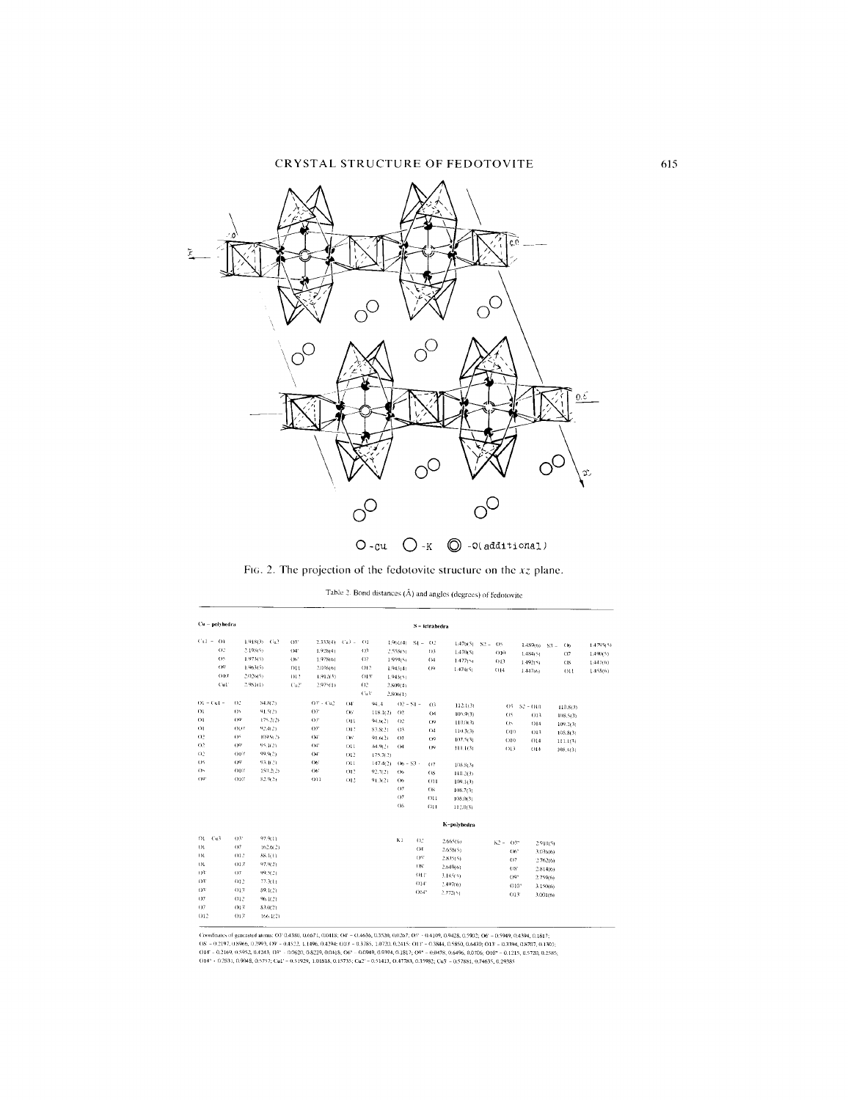

Fig. 2. The projection of the fedotovite structure on the  $xz$  plane.

Table 2. Bond distances  $(\hat{\mathbf{A}})$  and angles (degrees) of fedotovite

| Cu - polyhedra |                |                |              |                       |              |                |                       |                | S - tetrahedra |                    |             |                 |          |           |
|----------------|----------------|----------------|--------------|-----------------------|--------------|----------------|-----------------------|----------------|----------------|--------------------|-------------|-----------------|----------|-----------|
| $Cu1 = O1$     |                | $1.918(3)$ Cu2 | O3'          | $2.333(4)$ $Cu3 = 01$ |              |                | $1.961(4)$ $S1 = 02$  |                |                | $1.476(5)$ S2 = OS |             | $1.489(6)$ S3 = | (x)      | 1.4795(5) |
| O <sub>2</sub> |                | 2.198(5)       | O4'          | 1.928(4)              |              | $^{03}$        | 2,558(5)              |                | (1)            | 1.470(5)           | 010         | 1.484(5)        | O7       | 1.490(5)  |
| OS.            |                | 1.973(5)       | $O6^{\circ}$ | 1.978(6)              |              | $^{02}$        | 1.959(5)              |                | O <sub>4</sub> | 1.477(5)           | 013         | 1.492(5)        | OS       | 1.447(6)  |
| (19)           |                | 1.963(5)       | 011          | 2.036(6)              |              | 012            | 1.943(4)              |                | $^{09}$        | 1.474(5)           | 014         | 1.447(6)        | 011      | 1.455(6)  |
| O10'           |                | 2,026(5)       | 012          | 1.912(3)              |              | 013            | 1.943(5)              |                |                |                    |             |                 |          |           |
| Cut            |                | 2.981(1)       | Cu2          | 2.975(1)              |              | O <sub>2</sub> | 2.809(4)              |                |                |                    |             |                 |          |           |
|                |                |                |              |                       |              | Cu3'           | 2.806(1)              |                |                |                    |             |                 |          |           |
| $Q_1 - C_0$ =  | 02             | 84.8(2)        |              | $OV + Cu2$            | $04^{\circ}$ | 94.4           | $O2 - SI -$           |                | O <sub>3</sub> | 112.1(3)           |             | $OS - S2 - O10$ | 110.8(3) |           |
| O1             | (35)           | 91.5(2)        |              | $O3^{\circ}$          | C6           |                | $118.1(2)$ 02         |                | $^{(14)}$      | 105.9(3)           | O5          | 013             | 108.5(3) |           |
| $_{01}$        | ()9'           | 175,2(2)       |              | OS                    | 011          | 94.6(2)        | $()$ <sup>2</sup>     |                | (19)           | 110.0(3)           | $^{()}$     | 014             | 109.2(3) |           |
| $^{O1}$        | OBY            | 92.4(2)        |              | O3                    | 01?          | 83.8(2)        | $^{13}$               |                | $^{04}$        | 110.3(3)           | $010 -$     | 013             | 105.8(3) |           |
| $^{02}$        | OS.            | 109.9(2)       |              | $O4^{\circ}$          | (M)          | 91.6(2)        | $^{03}$               |                | $^{09}$        | 107.5(3)           | $_{010}$    | 014             | 111.1(3) |           |
| O.2            | O <sup>o</sup> | 95.3(2)        |              | $O4^{\circ}$          | 011          | 84.9(2)        | $^{()}$               |                | $^{19}$        | 111.1(3)           | 013         | 014             | 108.4(3) |           |
| O <sub>2</sub> | OUT            | 99.9(2)        |              | O4                    | $_{012}$     | 175.7(2)       |                       |                |                |                    |             |                 |          |           |
| OS.            | $^{09}$        | 93.1(2)        |              | O6'                   | $_{011}$     |                | $147.4(2)$ (16 - S3 - |                | 07             | 108.8(3)           |             |                 |          |           |
| O <sub>2</sub> | OIIT           | 150.2(2)       |              | O6'                   | 012          | 92.7(2)        | O <sub>b</sub>        |                | OS.            | 110.2(3)           |             |                 |          |           |
| $OQ^2$         | $010^{\circ}$  | 82.9(2)        |              | $_{\rm out}$          | 012          | 91.3(2)        | Ob                    |                | 011            | 109.1(3)           |             |                 |          |           |
|                |                |                |              |                       |              |                | O7                    |                | $_{OS}$        | 108.7(3)           |             |                 |          |           |
|                |                |                |              |                       |              |                | $^{17}$               |                | O11            | 108.0(3)           |             |                 |          |           |
|                |                |                |              |                       |              |                | O <sub>S</sub>        |                | 011            | 112.0(3)           |             |                 |          |           |
|                |                |                |              |                       |              |                |                       |                |                | K-polyhedra        |             |                 |          |           |
| $O1 - Cu3$     | or             | 97.9(1)        |              |                       |              |                | K1                    | O2             |                | 2.665(6)           | $K2 - O3^n$ |                 | 2.910(5) |           |
| O1             | $^{07}$        | 162.6(2)       |              |                       |              |                |                       | O <sub>4</sub> |                | 2.658(5)           | 067         |                 | 3.036(6) |           |
| O <sub>1</sub> | 012            | 88.1(1)        |              |                       |              |                |                       | OS*            |                | 2.835(5).          | O7          |                 | 2.762(6) |           |
| O <sub>k</sub> | 013            | 97.9(2)        |              |                       |              |                |                       | OS'            |                | 2.649(b)           | OS'         |                 | 2.814(6) |           |
| OY             | 07             | 99.5(2)        |              |                       |              |                |                       | 011            |                | 3.145(5).          | OQ"         |                 | 2.759(6) |           |
| O3'            | 012            | 77.3(1)        |              |                       |              |                |                       | 014'           |                | 2.497(6)           | 010"        |                 | 3.150(6) |           |
| O <sup>3</sup> | $013^{\circ}$  | \$9.1(2)       |              |                       |              |                |                       | 014"           |                | 2.772(s)           | O13'        |                 | 3.001(6) |           |
| O7             | 012            | 96.1(2)        |              |                       |              |                |                       |                |                |                    |             |                 |          |           |
| O7             | 013'           | 83.0(2)        |              |                       |              |                |                       |                |                |                    |             |                 |          |           |
| 012            | O13'           | 166.1(2)       |              |                       |              |                |                       |                |                |                    |             |                 |          |           |

Croudinates of generated atoms: OF 0.4380, 0.6671, 0.0418; OF = 0.4636, 0.3520, 0.0267; OF = 0.4109, 0.9428, 0.5902; OF = 0.5949, 0.4394, 0.1817;<br>OR = 0.2197, 0.8966, 0.2993, OF = 0.4522, 1.1496, 0.4294; OHF = 0.3785, 1.07